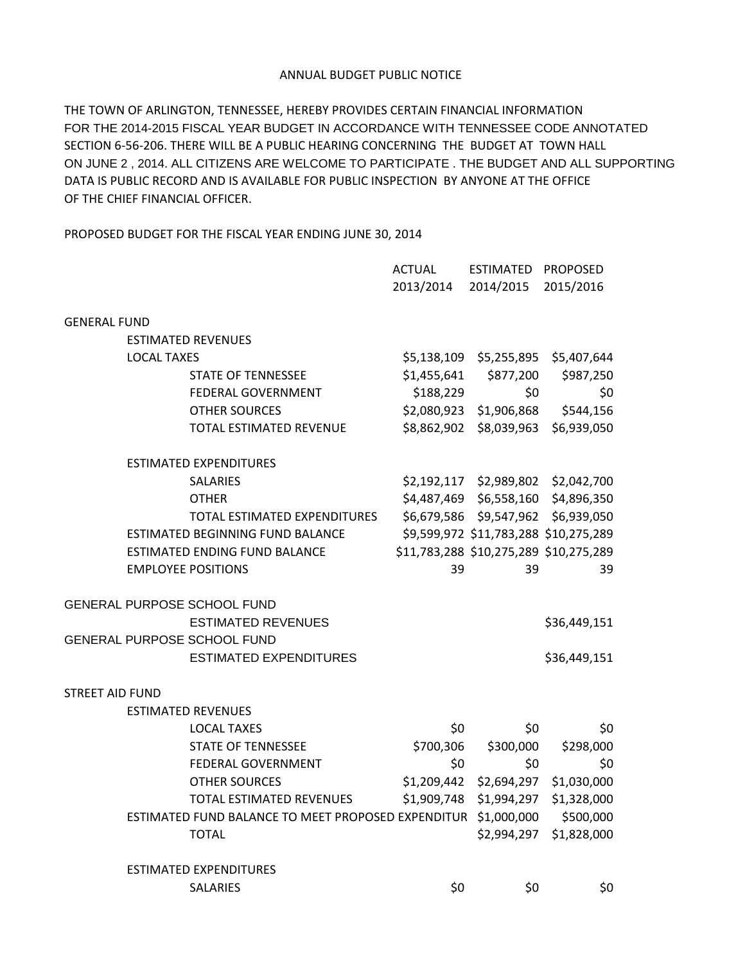## ANNUAL BUDGET PUBLIC NOTICE

THE TOWN OF ARLINGTON, TENNESSEE, HEREBY PROVIDES CERTAIN FINANCIAL INFORMATION FOR THE 2014-2015 FISCAL YEAR BUDGET IN ACCORDANCE WITH TENNESSEE CODE ANNOTATED SECTION 6-56-206. THERE WILL BE A PUBLIC HEARING CONCERNING THE BUDGET AT TOWN HALL ON JUNE 2 , 2014. ALL CITIZENS ARE WELCOME TO PARTICIPATE . THE BUDGET AND ALL SUPPORTING DATA IS PUBLIC RECORD AND IS AVAILABLE FOR PUBLIC INSPECTION BY ANYONE AT THE OFFICE OF THE CHIEF FINANCIAL OFFICER.

PROPOSED BUDGET FOR THE FISCAL YEAR ENDING JUNE 30, 2014

|                        |                    |                                                    | <b>ACTUAL</b> | ESTIMATED               | <b>PROPOSED</b>                        |  |
|------------------------|--------------------|----------------------------------------------------|---------------|-------------------------|----------------------------------------|--|
|                        |                    |                                                    | 2013/2014     | 2014/2015               | 2015/2016                              |  |
|                        |                    |                                                    |               |                         |                                        |  |
| <b>GENERAL FUND</b>    |                    |                                                    |               |                         |                                        |  |
|                        |                    | <b>ESTIMATED REVENUES</b>                          |               |                         |                                        |  |
|                        | <b>LOCAL TAXES</b> |                                                    | \$5,138,109   | \$5,255,895             | \$5,407,644                            |  |
|                        |                    | <b>STATE OF TENNESSEE</b>                          | \$1,455,641   | \$877,200               | \$987,250                              |  |
|                        |                    | FEDERAL GOVERNMENT                                 | \$188,229     | \$0                     | \$0                                    |  |
|                        |                    | <b>OTHER SOURCES</b>                               | \$2,080,923   | \$1,906,868             | \$544,156                              |  |
|                        |                    | TOTAL ESTIMATED REVENUE                            | \$8,862,902   | \$8,039,963             | \$6,939,050                            |  |
|                        |                    | <b>ESTIMATED EXPENDITURES</b>                      |               |                         |                                        |  |
|                        |                    | <b>SALARIES</b>                                    | \$2,192,117   | \$2,989,802             | \$2,042,700                            |  |
|                        |                    | <b>OTHER</b>                                       | \$4,487,469   | \$6,558,160             | \$4,896,350                            |  |
|                        |                    | TOTAL ESTIMATED EXPENDITURES                       |               | \$6,679,586 \$9,547,962 | \$6,939,050                            |  |
|                        |                    | <b>ESTIMATED BEGINNING FUND BALANCE</b>            |               |                         | \$9,599,972 \$11,783,288 \$10,275,289  |  |
|                        |                    | <b>ESTIMATED ENDING FUND BALANCE</b>               |               |                         | \$11,783,288 \$10,275,289 \$10,275,289 |  |
|                        |                    | <b>EMPLOYEE POSITIONS</b>                          | 39            | 39                      | 39                                     |  |
|                        |                    | <b>GENERAL PURPOSE SCHOOL FUND</b>                 |               |                         |                                        |  |
|                        |                    | <b>ESTIMATED REVENUES</b>                          |               |                         | \$36,449,151                           |  |
|                        |                    | <b>GENERAL PURPOSE SCHOOL FUND</b>                 |               |                         |                                        |  |
|                        |                    | <b>ESTIMATED EXPENDITURES</b>                      |               |                         | \$36,449,151                           |  |
| <b>STREET AID FUND</b> |                    |                                                    |               |                         |                                        |  |
|                        |                    | <b>ESTIMATED REVENUES</b>                          |               |                         |                                        |  |
|                        |                    | <b>LOCAL TAXES</b>                                 | \$0           | \$0                     | \$0                                    |  |
|                        |                    | <b>STATE OF TENNESSEE</b>                          | \$700,306     | \$300,000               | \$298,000                              |  |
|                        |                    | FEDERAL GOVERNMENT                                 | \$0           | \$0                     | \$0                                    |  |
|                        |                    | <b>OTHER SOURCES</b>                               | \$1,209,442   | \$2,694,297             | \$1,030,000                            |  |
|                        |                    | TOTAL ESTIMATED REVENUES                           | \$1,909,748   | \$1,994,297             | \$1,328,000                            |  |
|                        |                    | ESTIMATED FUND BALANCE TO MEET PROPOSED EXPENDITUR |               | \$1,000,000             | \$500,000                              |  |
|                        |                    | <b>TOTAL</b>                                       |               | \$2,994,297             | \$1,828,000                            |  |
|                        |                    | <b>ESTIMATED EXPENDITURES</b>                      |               |                         |                                        |  |
|                        |                    | <b>SALARIES</b>                                    | \$0           | \$0                     | \$0                                    |  |